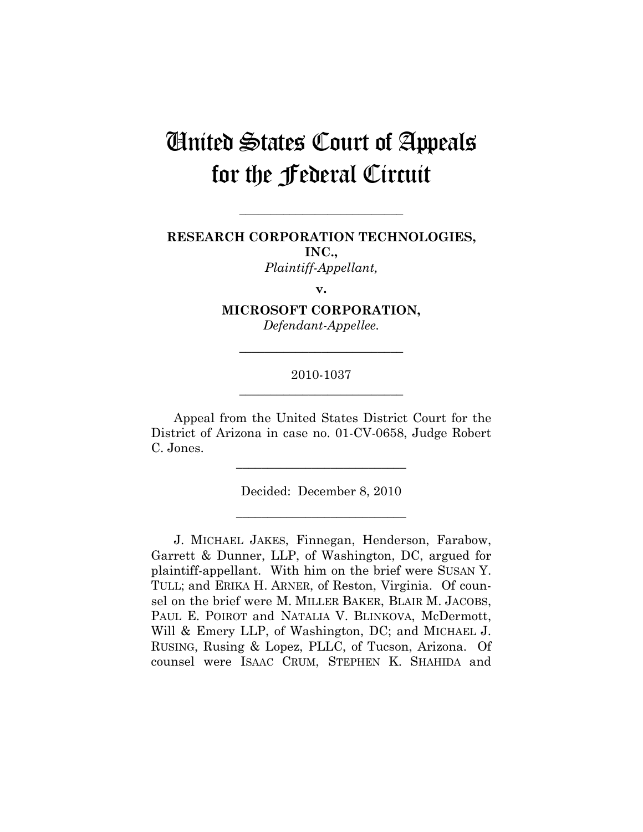# United States Court of Appeals for the Federal Circuit

## **RESEARCH CORPORATION TECHNOLOGIES, INC.,**  *Plaintiff-Appellant,*

**\_\_\_\_\_\_\_\_\_\_\_\_\_\_\_\_\_\_\_\_\_\_\_\_\_\_** 

**v.** 

## **MICROSOFT CORPORATION,**

*Defendant-Appellee.* 

## 2010-1037 **\_\_\_\_\_\_\_\_\_\_\_\_\_\_\_\_\_\_\_\_\_\_\_\_\_\_**

**\_\_\_\_\_\_\_\_\_\_\_\_\_\_\_\_\_\_\_\_\_\_\_\_\_\_** 

Appeal from the United States District Court for the District of Arizona in case no. 01-CV-0658, Judge Robert C. Jones.

> Decided: December 8, 2010 **\_\_\_\_\_\_\_\_\_\_\_\_\_\_\_\_\_\_\_\_\_\_\_\_\_\_\_**

> **\_\_\_\_\_\_\_\_\_\_\_\_\_\_\_\_\_\_\_\_\_\_\_\_\_\_\_**

J. MICHAEL JAKES, Finnegan, Henderson, Farabow, Garrett & Dunner, LLP, of Washington, DC, argued for plaintiff-appellant. With him on the brief were SUSAN Y. TULL; and ERIKA H. ARNER, of Reston, Virginia. Of counsel on the brief were M. MILLER BAKER, BLAIR M. JACOBS, PAUL E. POIROT and NATALIA V. BLINKOVA, McDermott, Will & Emery LLP, of Washington, DC; and MICHAEL J. RUSING, Rusing & Lopez, PLLC, of Tucson, Arizona. Of counsel were ISAAC CRUM, STEPHEN K. SHAHIDA and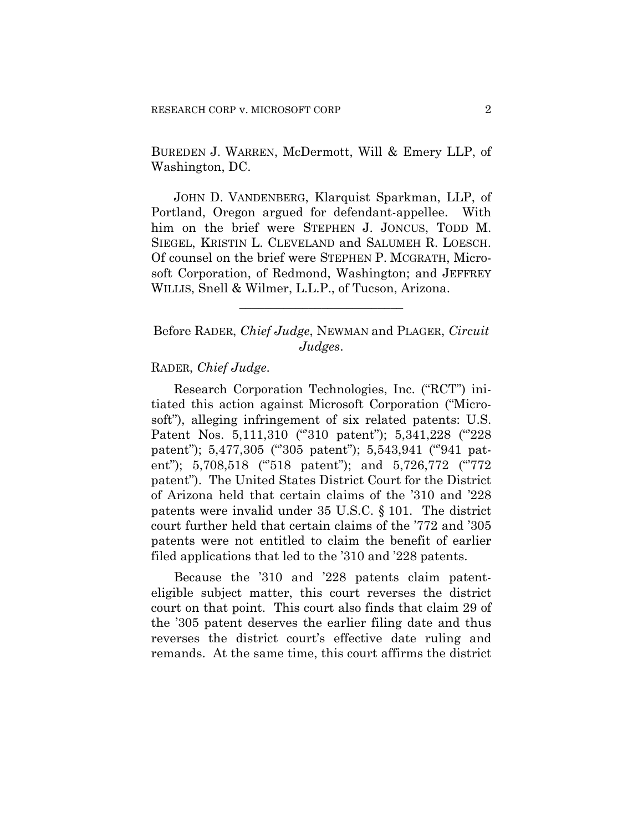BUREDEN J. WARREN, McDermott, Will & Emery LLP, of Washington, DC.

JOHN D. VANDENBERG, Klarquist Sparkman, LLP, of Portland, Oregon argued for defendant-appellee. With him on the brief were STEPHEN J. JONCUS, TODD M. SIEGEL, KRISTIN L. CLEVELAND and SALUMEH R. LOESCH. Of counsel on the brief were STEPHEN P. MCGRATH, Microsoft Corporation, of Redmond, Washington; and JEFFREY WILLIS, Snell & Wilmer, L.L.P., of Tucson, Arizona.

Before RADER, *Chief Judge*, NEWMAN and PLAGER, *Circuit Judges*.

**\_\_\_\_\_\_\_\_\_\_\_\_\_\_\_\_\_\_\_\_\_\_\_\_\_\_** 

### RADER, *Chief Judge*.

Research Corporation Technologies, Inc. ("RCT") initiated this action against Microsoft Corporation ("Microsoft"), alleging infringement of six related patents: U.S. Patent Nos. 5,111,310 ("310 patent"); 5,341,228 ("228 patent"); 5,477,305 ("305 patent"); 5,543,941 ("941 patent"); 5,708,518 ("518 patent"); and 5,726,772 ("772 patent"). The United States District Court for the District of Arizona held that certain claims of the '310 and '228 patents were invalid under 35 U.S.C. § 101. The district court further held that certain claims of the '772 and '305 patents were not entitled to claim the benefit of earlier filed applications that led to the '310 and '228 patents.

Because the '310 and '228 patents claim patenteligible subject matter, this court reverses the district court on that point. This court also finds that claim 29 of the '305 patent deserves the earlier filing date and thus reverses the district court's effective date ruling and remands. At the same time, this court affirms the district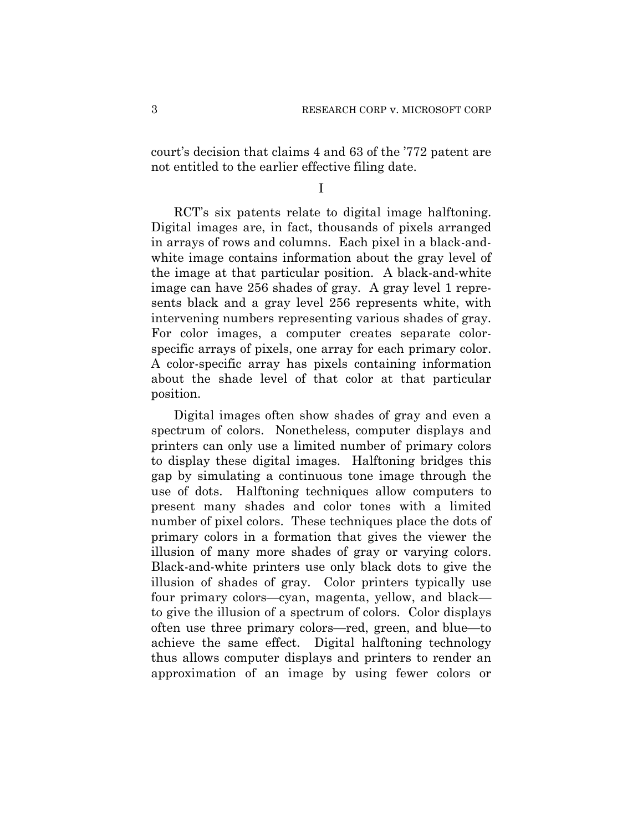court's decision that claims 4 and 63 of the '772 patent are not entitled to the earlier effective filing date.

I

RCT's six patents relate to digital image halftoning. Digital images are, in fact, thousands of pixels arranged in arrays of rows and columns. Each pixel in a black-andwhite image contains information about the gray level of the image at that particular position. A black-and-white image can have 256 shades of gray. A gray level 1 represents black and a gray level 256 represents white, with intervening numbers representing various shades of gray. For color images, a computer creates separate colorspecific arrays of pixels, one array for each primary color. A color-specific array has pixels containing information about the shade level of that color at that particular position.

Digital images often show shades of gray and even a spectrum of colors. Nonetheless, computer displays and printers can only use a limited number of primary colors to display these digital images. Halftoning bridges this gap by simulating a continuous tone image through the use of dots. Halftoning techniques allow computers to present many shades and color tones with a limited number of pixel colors. These techniques place the dots of primary colors in a formation that gives the viewer the illusion of many more shades of gray or varying colors. Black-and-white printers use only black dots to give the illusion of shades of gray. Color printers typically use four primary colors—cyan, magenta, yellow, and black to give the illusion of a spectrum of colors. Color displays often use three primary colors—red, green, and blue—to achieve the same effect. Digital halftoning technology thus allows computer displays and printers to render an approximation of an image by using fewer colors or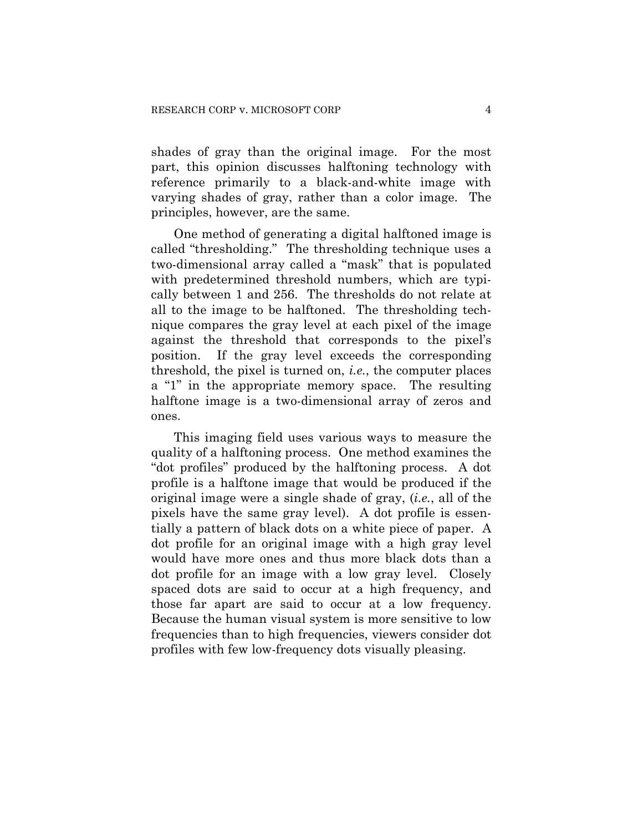shades of gray than the original image. For the most part, this opinion discusses halftoning technology with reference primarily to a black-and-white image with varying shades of gray, rather than a color image. The principles, however, are the same.

One method of generating a digital halftoned image is called "thresholding." The thresholding technique uses a two-dimensional array called a "mask" that is populated with predetermined threshold numbers, which are typically between 1 and 256. The thresholds do not relate at all to the image to be halftoned. The thresholding technique compares the gray level at each pixel of the image against the threshold that corresponds to the pixel's position. If the gray level exceeds the corresponding threshold, the pixel is turned on, *i.e.*, the computer places a "1" in the appropriate memory space. The resulting halftone image is a two-dimensional array of zeros and ones.

This imaging field uses various ways to measure the quality of a halftoning process. One method examines the "dot profiles" produced by the halftoning process. A dot profile is a halftone image that would be produced if the original image were a single shade of gray, (*i.e.*, all of the pixels have the same gray level). A dot profile is essentially a pattern of black dots on a white piece of paper. A dot profile for an original image with a high gray level would have more ones and thus more black dots than a dot profile for an image with a low gray level. Closely spaced dots are said to occur at a high frequency, and those far apart are said to occur at a low frequency. Because the human visual system is more sensitive to low frequencies than to high frequencies, viewers consider dot profiles with few low-frequency dots visually pleasing.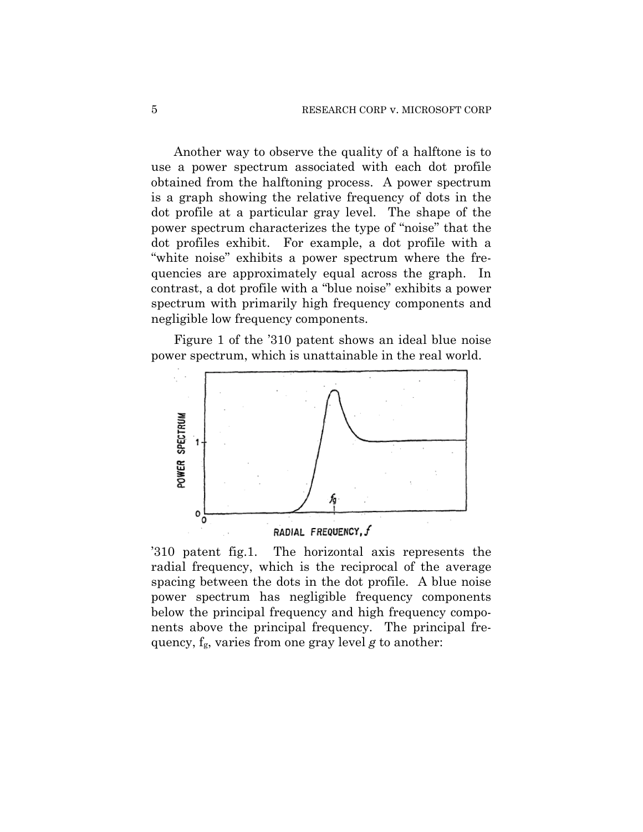Another way to observe the quality of a halftone is to use a power spectrum associated with each dot profile obtained from the halftoning process. A power spectrum is a graph showing the relative frequency of dots in the dot profile at a particular gray level. The shape of the power spectrum characterizes the type of "noise" that the dot profiles exhibit. For example, a dot profile with a "white noise" exhibits a power spectrum where the frequencies are approximately equal across the graph. In contrast, a dot profile with a "blue noise" exhibits a power spectrum with primarily high frequency components and negligible low frequency components.

Figure 1 of the '310 patent shows an ideal blue noise power spectrum, which is unattainable in the real world.



'310 patent fig.1. The horizontal axis represents the radial frequency, which is the reciprocal of the average spacing between the dots in the dot profile. A blue noise power spectrum has negligible frequency components below the principal frequency and high frequency components above the principal frequency. The principal fre-

quency, fg, varies from one gray level *g* to another: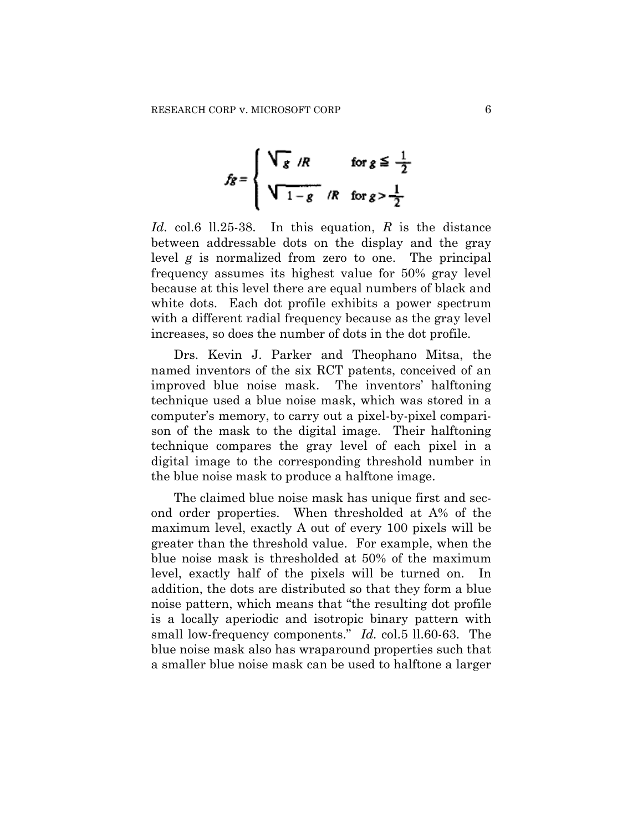$$
f_g = \begin{cases} \sqrt{g} / R & \text{for } g \leq \frac{1}{2} \\ \sqrt{1 - g} / R & \text{for } g > \frac{1}{2} \end{cases}
$$

*Id.* col.6 ll.25-38. In this equation, *R* is the distance between addressable dots on the display and the gray level *g* is normalized from zero to one. The principal frequency assumes its highest value for 50% gray level because at this level there are equal numbers of black and white dots. Each dot profile exhibits a power spectrum with a different radial frequency because as the gray level increases, so does the number of dots in the dot profile.

Drs. Kevin J. Parker and Theophano Mitsa, the named inventors of the six RCT patents, conceived of an improved blue noise mask. The inventors' halftoning technique used a blue noise mask, which was stored in a computer's memory, to carry out a pixel-by-pixel comparison of the mask to the digital image. Their halftoning technique compares the gray level of each pixel in a digital image to the corresponding threshold number in the blue noise mask to produce a halftone image.

The claimed blue noise mask has unique first and second order properties. When thresholded at A% of the maximum level, exactly A out of every 100 pixels will be greater than the threshold value. For example, when the blue noise mask is thresholded at 50% of the maximum level, exactly half of the pixels will be turned on. addition, the dots are distributed so that they form a blue noise pattern, which means that "the resulting dot profile is a locally aperiodic and isotropic binary pattern with small low-frequency components." *Id.* col.5 ll.60-63. The blue noise mask also has wraparound properties such that a smaller blue noise mask can be used to halftone a larger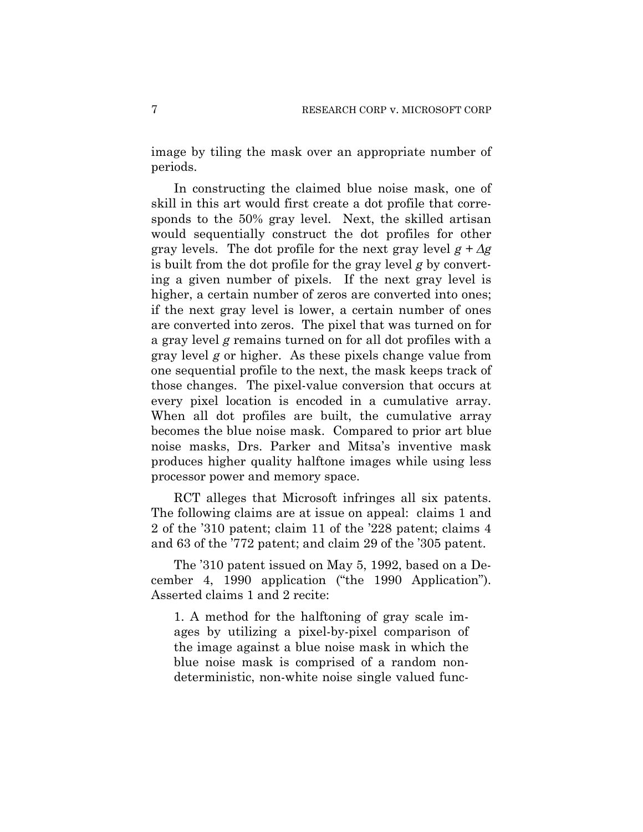image by tiling the mask over an appropriate number of periods.

In constructing the claimed blue noise mask, one of skill in this art would first create a dot profile that corresponds to the 50% gray level. Next, the skilled artisan would sequentially construct the dot profiles for other gray levels. The dot profile for the next gray level  $g + \Delta g$ is built from the dot profile for the gray level *g* by converting a given number of pixels. If the next gray level is higher, a certain number of zeros are converted into ones; if the next gray level is lower, a certain number of ones are converted into zeros. The pixel that was turned on for a gray level *g* remains turned on for all dot profiles with a gray level *g* or higher. As these pixels change value from one sequential profile to the next, the mask keeps track of those changes. The pixel-value conversion that occurs at every pixel location is encoded in a cumulative array. When all dot profiles are built, the cumulative array becomes the blue noise mask. Compared to prior art blue noise masks, Drs. Parker and Mitsa's inventive mask produces higher quality halftone images while using less processor power and memory space.

RCT alleges that Microsoft infringes all six patents. The following claims are at issue on appeal: claims 1 and 2 of the '310 patent; claim 11 of the '228 patent; claims 4 and 63 of the '772 patent; and claim 29 of the '305 patent.

The '310 patent issued on May 5, 1992, based on a December 4, 1990 application ("the 1990 Application"). Asserted claims 1 and 2 recite:

1. A method for the halftoning of gray scale images by utilizing a pixel-by-pixel comparison of the image against a blue noise mask in which the blue noise mask is comprised of a random nondeterministic, non-white noise single valued func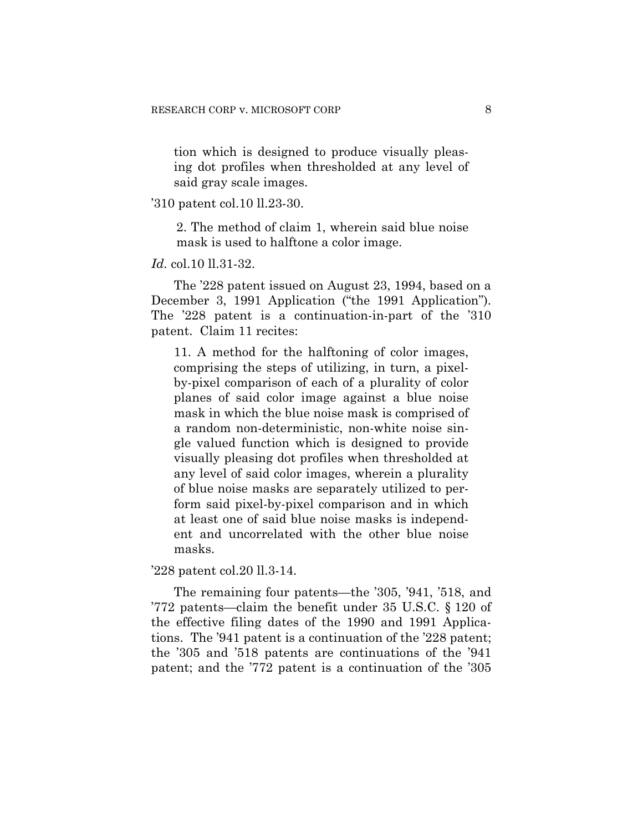tion which is designed to produce visually pleasing dot profiles when thresholded at any level of said gray scale images.

#### '310 patent col.10 ll.23-30.

2. The method of claim 1, wherein said blue noise mask is used to halftone a color image.

#### *Id.* col.10 ll.31-32.

The '228 patent issued on August 23, 1994, based on a December 3, 1991 Application ("the 1991 Application"). The '228 patent is a continuation-in-part of the '310 patent. Claim 11 recites:

11. A method for the halftoning of color images, comprising the steps of utilizing, in turn, a pixelby-pixel comparison of each of a plurality of color planes of said color image against a blue noise mask in which the blue noise mask is comprised of a random non-deterministic, non-white noise single valued function which is designed to provide visually pleasing dot profiles when thresholded at any level of said color images, wherein a plurality of blue noise masks are separately utilized to perform said pixel-by-pixel comparison and in which at least one of said blue noise masks is independent and uncorrelated with the other blue noise masks.

'228 patent col.20 ll.3-14.

The remaining four patents—the '305, '941, '518, and '772 patents—claim the benefit under 35 U.S.C. § 120 of the effective filing dates of the 1990 and 1991 Applications. The '941 patent is a continuation of the '228 patent; the '305 and '518 patents are continuations of the '941 patent; and the '772 patent is a continuation of the '305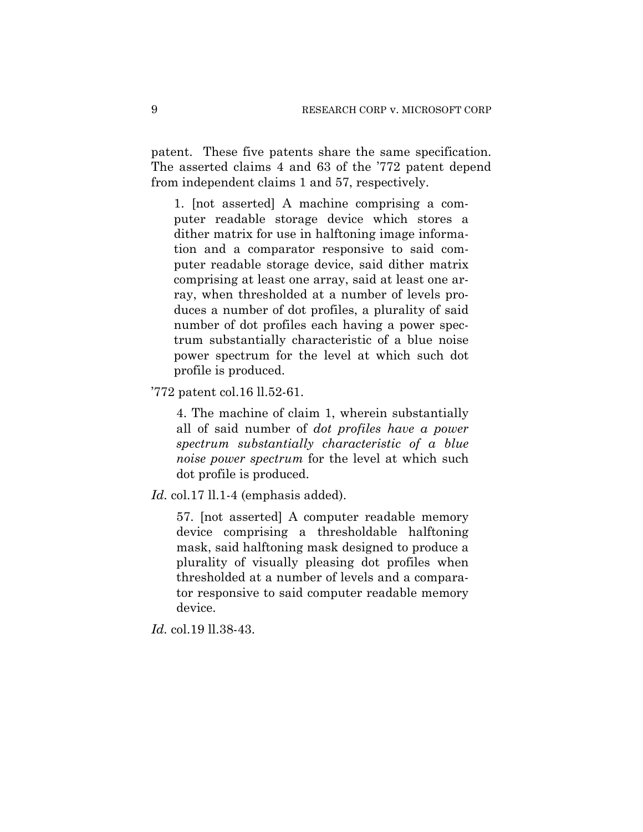patent. These five patents share the same specification. The asserted claims 4 and 63 of the '772 patent depend from independent claims 1 and 57, respectively.

1. [not asserted] A machine comprising a computer readable storage device which stores a dither matrix for use in halftoning image information and a comparator responsive to said computer readable storage device, said dither matrix comprising at least one array, said at least one array, when thresholded at a number of levels produces a number of dot profiles, a plurality of said number of dot profiles each having a power spectrum substantially characteristic of a blue noise power spectrum for the level at which such dot profile is produced.

'772 patent col.16 ll.52-61.

4. The machine of claim 1, wherein substantially all of said number of *dot profiles have a power spectrum substantially characteristic of a blue noise power spectrum* for the level at which such dot profile is produced.

*Id.* col.17 ll.1-4 (emphasis added).

57. [not asserted] A computer readable memory device comprising a thresholdable halftoning mask, said halftoning mask designed to produce a plurality of visually pleasing dot profiles when thresholded at a number of levels and a comparator responsive to said computer readable memory device.

*Id.* col.19 ll.38-43.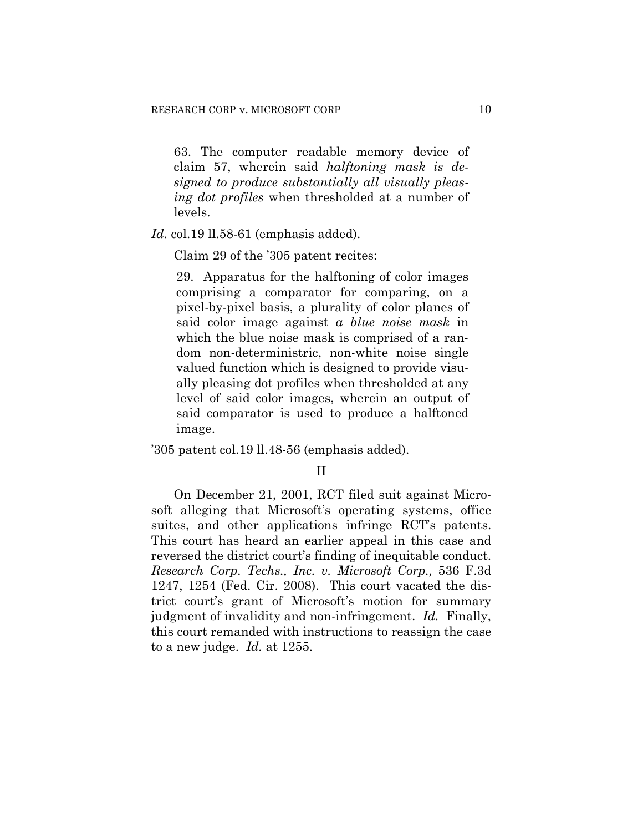63. The computer readable memory device of claim 57, wherein said *halftoning mask is designed to produce substantially all visually pleasing dot profiles* when thresholded at a number of levels.

*Id.* col.19 ll.58-61 (emphasis added).

Claim 29 of the '305 patent recites:

29. Apparatus for the halftoning of color images comprising a comparator for comparing, on a pixel-by-pixel basis, a plurality of color planes of said color image against *a blue noise mask* in which the blue noise mask is comprised of a random non-deterministric, non-white noise single valued function which is designed to provide visually pleasing dot profiles when thresholded at any level of said color images, wherein an output of said comparator is used to produce a halftoned image.

'305 patent col.19 ll.48-56 (emphasis added).

#### II

On December 21, 2001, RCT filed suit against Microsoft alleging that Microsoft's operating systems, office suites, and other applications infringe RCT's patents. This court has heard an earlier appeal in this case and reversed the district court's finding of inequitable conduct. *Research Corp. Techs., Inc. v. Microsoft Corp.,* 536 F.3d 1247, 1254 (Fed. Cir. 2008). This court vacated the district court's grant of Microsoft's motion for summary judgment of invalidity and non-infringement. *Id.* Finally, this court remanded with instructions to reassign the case to a new judge. *Id.* at 1255.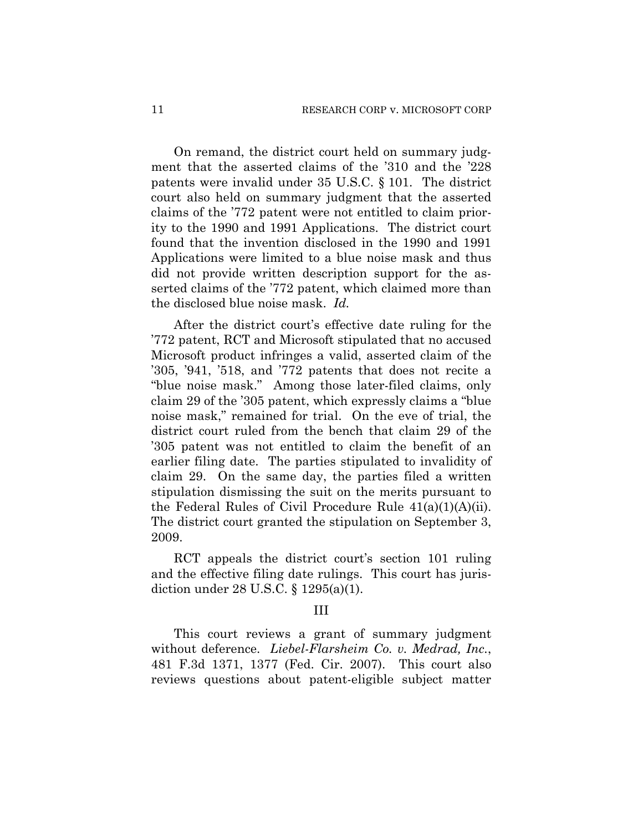On remand, the district court held on summary judgment that the asserted claims of the '310 and the '228 patents were invalid under 35 U.S.C. § 101. The district court also held on summary judgment that the asserted claims of the '772 patent were not entitled to claim priority to the 1990 and 1991 Applications. The district court found that the invention disclosed in the 1990 and 1991 Applications were limited to a blue noise mask and thus did not provide written description support for the asserted claims of the '772 patent, which claimed more than the disclosed blue noise mask. *Id.*

After the district court's effective date ruling for the '772 patent, RCT and Microsoft stipulated that no accused Microsoft product infringes a valid, asserted claim of the '305, '941, '518, and '772 patents that does not recite a "blue noise mask." Among those later-filed claims, only claim 29 of the '305 patent, which expressly claims a "blue noise mask," remained for trial. On the eve of trial, the district court ruled from the bench that claim 29 of the '305 patent was not entitled to claim the benefit of an earlier filing date. The parties stipulated to invalidity of claim 29. On the same day, the parties filed a written stipulation dismissing the suit on the merits pursuant to the Federal Rules of Civil Procedure Rule 41(a)(1)(A)(ii). The district court granted the stipulation on September 3, 2009.

RCT appeals the district court's section 101 ruling and the effective filing date rulings. This court has jurisdiction under 28 U.S.C. § 1295(a)(1).

#### III

This court reviews a grant of summary judgment without deference. *Liebel-Flarsheim Co. v. Medrad, Inc.*, 481 F.3d 1371, 1377 (Fed. Cir. 2007). This court also reviews questions about patent-eligible subject matter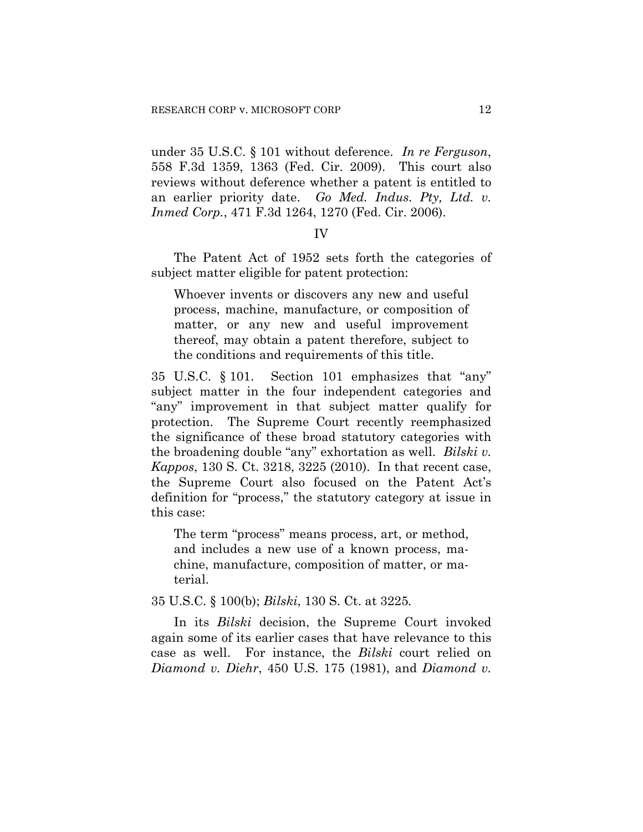under 35 U.S.C. § 101 without deference. *In re Ferguson*, 558 F.3d 1359, 1363 (Fed. Cir. 2009). This court also reviews without deference whether a patent is entitled to an earlier priority date. *Go Med. Indus. Pty, Ltd. v. Inmed Corp.*, 471 F.3d 1264, 1270 (Fed. Cir. 2006).

#### IV

The Patent Act of 1952 sets forth the categories of subject matter eligible for patent protection:

Whoever invents or discovers any new and useful process, machine, manufacture, or composition of matter, or any new and useful improvement thereof, may obtain a patent therefore, subject to the conditions and requirements of this title.

35 U.S.C. § 101. Section 101 emphasizes that "any" subject matter in the four independent categories and "any" improvement in that subject matter qualify for protection. The Supreme Court recently reemphasized the significance of these broad statutory categories with the broadening double "any" exhortation as well. *Bilski v. Kappos*, 130 S. Ct. 3218, 3225 (2010). In that recent case, the Supreme Court also focused on the Patent Act's definition for "process," the statutory category at issue in this case:

The term "process" means process, art, or method, and includes a new use of a known process, machine, manufacture, composition of matter, or material.

35 U.S.C. § 100(b); *Bilski*, 130 S. Ct. at 3225*.*

In its *Bilski* decision, the Supreme Court invoked again some of its earlier cases that have relevance to this case as well. For instance, the *Bilski* court relied on *Diamond v. Diehr*, 450 U.S. 175 (1981), and *Diamond v.*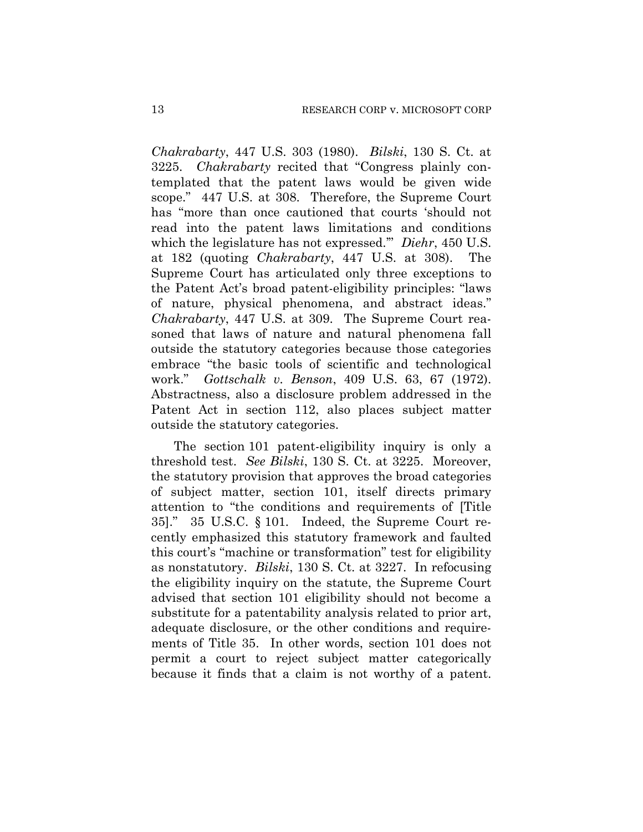*Chakrabarty*, 447 U.S. 303 (1980). *Bilski*, 130 S. Ct. at 3225. *Chakrabarty* recited that "Congress plainly contemplated that the patent laws would be given wide scope." 447 U.S. at 308. Therefore, the Supreme Court has "more than once cautioned that courts 'should not read into the patent laws limitations and conditions which the legislature has not expressed.'" *Diehr*, 450 U.S. at 182 (quoting *Chakrabarty*, 447 U.S. at 308). The Supreme Court has articulated only three exceptions to the Patent Act's broad patent-eligibility principles: "laws of nature, physical phenomena, and abstract ideas." *Chakrabarty*, 447 U.S. at 309. The Supreme Court reasoned that laws of nature and natural phenomena fall outside the statutory categories because those categories embrace "the basic tools of scientific and technological work." *Gottschalk v. Benson*, 409 U.S. 63, 67 (1972). Abstractness, also a disclosure problem addressed in the Patent Act in section 112, also places subject matter outside the statutory categories.

The section 101 patent-eligibility inquiry is only a threshold test. *See Bilski*, 130 S. Ct. at 3225. Moreover, the statutory provision that approves the broad categories of subject matter, section 101, itself directs primary attention to "the conditions and requirements of [Title 35]." 35 U.S.C. § 101*.* Indeed, the Supreme Court recently emphasized this statutory framework and faulted this court's "machine or transformation" test for eligibility as nonstatutory. *Bilski*, 130 S. Ct. at 3227. In refocusing the eligibility inquiry on the statute, the Supreme Court advised that section 101 eligibility should not become a substitute for a patentability analysis related to prior art, adequate disclosure, or the other conditions and requirements of Title 35. In other words, section 101 does not permit a court to reject subject matter categorically because it finds that a claim is not worthy of a patent.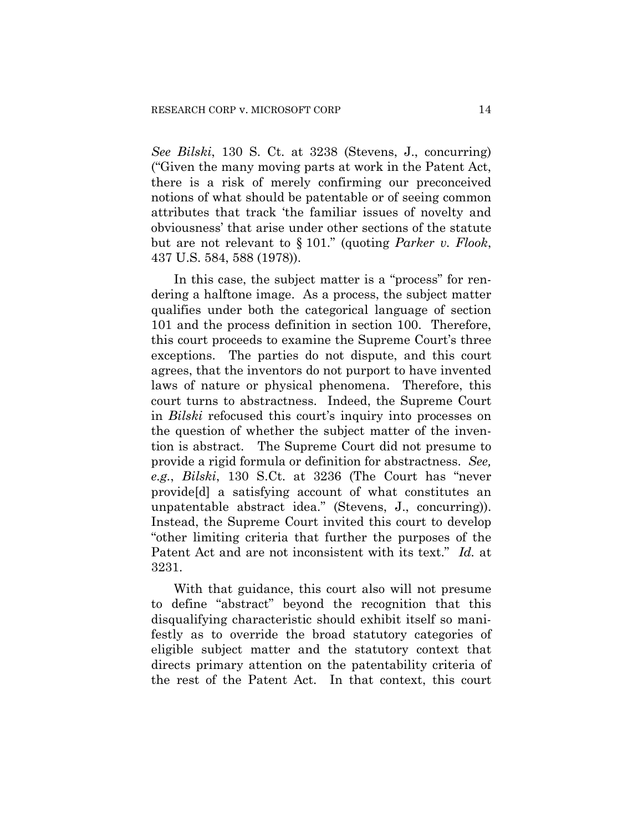*See Bilski*, 130 S. Ct. at 3238 (Stevens, J., concurring) ("Given the many moving parts at work in the Patent Act, there is a risk of merely confirming our preconceived notions of what should be patentable or of seeing common attributes that track 'the familiar issues of novelty and obviousness' that arise under other sections of the statute but are not relevant to § 101." (quoting *Parker v. Flook*, 437 U.S. 584, 588 (1978)).

In this case, the subject matter is a "process" for rendering a halftone image. As a process, the subject matter qualifies under both the categorical language of section 101 and the process definition in section 100. Therefore, this court proceeds to examine the Supreme Court's three exceptions. The parties do not dispute, and this court agrees, that the inventors do not purport to have invented laws of nature or physical phenomena. Therefore, this court turns to abstractness. Indeed, the Supreme Court in *Bilski* refocused this court's inquiry into processes on the question of whether the subject matter of the invention is abstract. The Supreme Court did not presume to provide a rigid formula or definition for abstractness. *See, e.g.*, *Bilski*, 130 S.Ct. at 3236 (The Court has "never provide[d] a satisfying account of what constitutes an unpatentable abstract idea." (Stevens, J., concurring)). Instead, the Supreme Court invited this court to develop "other limiting criteria that further the purposes of the Patent Act and are not inconsistent with its text." *Id.* at 3231.

With that guidance, this court also will not presume to define "abstract" beyond the recognition that this disqualifying characteristic should exhibit itself so manifestly as to override the broad statutory categories of eligible subject matter and the statutory context that directs primary attention on the patentability criteria of the rest of the Patent Act. In that context, this court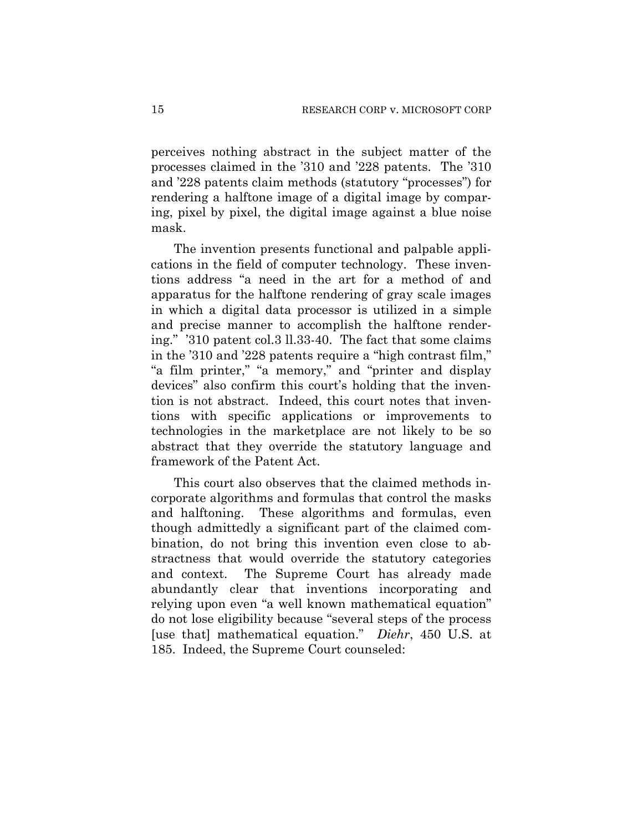perceives nothing abstract in the subject matter of the processes claimed in the '310 and '228 patents. The '310 and '228 patents claim methods (statutory "processes") for rendering a halftone image of a digital image by comparing, pixel by pixel, the digital image against a blue noise mask.

The invention presents functional and palpable applications in the field of computer technology. These inventions address "a need in the art for a method of and apparatus for the halftone rendering of gray scale images in which a digital data processor is utilized in a simple and precise manner to accomplish the halftone rendering." '310 patent col.3 ll.33-40. The fact that some claims in the '310 and '228 patents require a "high contrast film," "a film printer," "a memory," and "printer and display devices" also confirm this court's holding that the invention is not abstract. Indeed, this court notes that inventions with specific applications or improvements to technologies in the marketplace are not likely to be so abstract that they override the statutory language and framework of the Patent Act.

This court also observes that the claimed methods incorporate algorithms and formulas that control the masks and halftoning. These algorithms and formulas, even though admittedly a significant part of the claimed combination, do not bring this invention even close to abstractness that would override the statutory categories and context. The Supreme Court has already made abundantly clear that inventions incorporating and relying upon even "a well known mathematical equation" do not lose eligibility because "several steps of the process [use that] mathematical equation." *Diehr*, 450 U.S. at 185. Indeed, the Supreme Court counseled: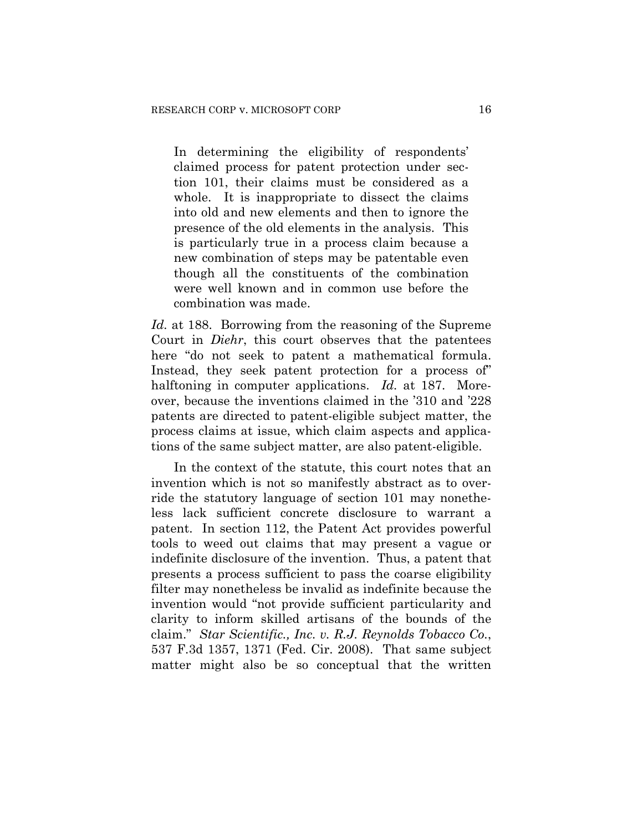In determining the eligibility of respondents' claimed process for patent protection under section 101, their claims must be considered as a whole. It is inappropriate to dissect the claims into old and new elements and then to ignore the presence of the old elements in the analysis. This is particularly true in a process claim because a new combination of steps may be patentable even though all the constituents of the combination were well known and in common use before the combination was made.

*Id.* at 188. Borrowing from the reasoning of the Supreme Court in *Diehr*, this court observes that the patentees here "do not seek to patent a mathematical formula. Instead, they seek patent protection for a process of" halftoning in computer applications. *Id.* at 187. Moreover, because the inventions claimed in the '310 and '228 patents are directed to patent-eligible subject matter, the process claims at issue, which claim aspects and applications of the same subject matter, are also patent-eligible.

In the context of the statute, this court notes that an invention which is not so manifestly abstract as to override the statutory language of section 101 may nonetheless lack sufficient concrete disclosure to warrant a patent. In section 112, the Patent Act provides powerful tools to weed out claims that may present a vague or indefinite disclosure of the invention. Thus, a patent that presents a process sufficient to pass the coarse eligibility filter may nonetheless be invalid as indefinite because the invention would "not provide sufficient particularity and clarity to inform skilled artisans of the bounds of the claim." *Star Scientific., Inc. v. R.J. Reynolds Tobacco Co.*, 537 F.3d 1357, 1371 (Fed. Cir. 2008). That same subject matter might also be so conceptual that the written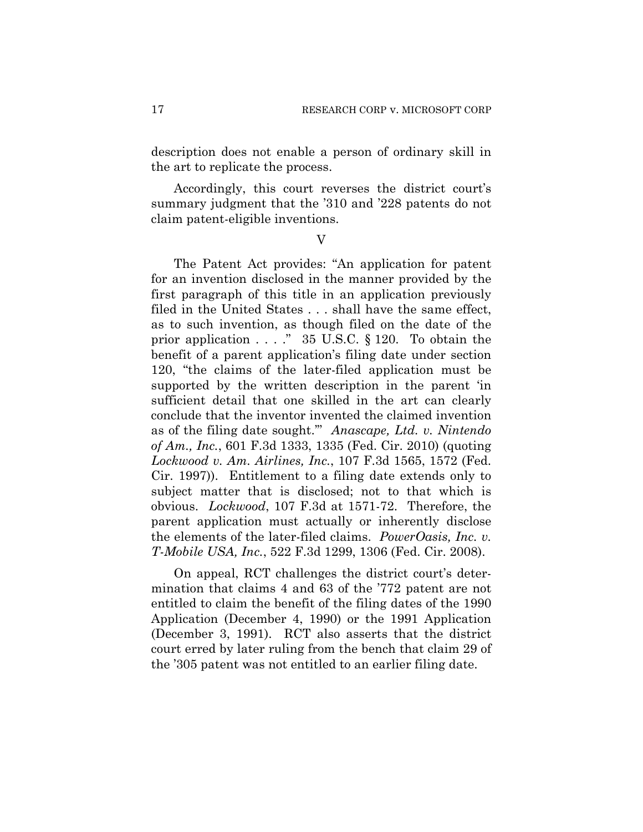description does not enable a person of ordinary skill in the art to replicate the process.

Accordingly, this court reverses the district court's summary judgment that the '310 and '228 patents do not claim patent-eligible inventions.

V

The Patent Act provides: "An application for patent for an invention disclosed in the manner provided by the first paragraph of this title in an application previously filed in the United States . . . shall have the same effect, as to such invention, as though filed on the date of the prior application  $\ldots$  ." 35 U.S.C. § 120. To obtain the benefit of a parent application's filing date under section 120, "the claims of the later-filed application must be supported by the written description in the parent 'in sufficient detail that one skilled in the art can clearly conclude that the inventor invented the claimed invention as of the filing date sought.'" *Anascape, Ltd. v. Nintendo of Am., Inc.*, 601 F.3d 1333, 1335 (Fed. Cir. 2010) (quoting *Lockwood v. Am. Airlines, Inc.*, 107 F.3d 1565, 1572 (Fed. Cir. 1997)). Entitlement to a filing date extends only to subject matter that is disclosed; not to that which is obvious. *Lockwood*, 107 F.3d at 1571-72. Therefore, the parent application must actually or inherently disclose the elements of the later-filed claims. *PowerOasis, Inc. v. T-Mobile USA, Inc.*, 522 F.3d 1299, 1306 (Fed. Cir. 2008).

On appeal, RCT challenges the district court's determination that claims 4 and 63 of the '772 patent are not entitled to claim the benefit of the filing dates of the 1990 Application (December 4, 1990) or the 1991 Application (December 3, 1991). RCT also asserts that the district court erred by later ruling from the bench that claim 29 of the '305 patent was not entitled to an earlier filing date.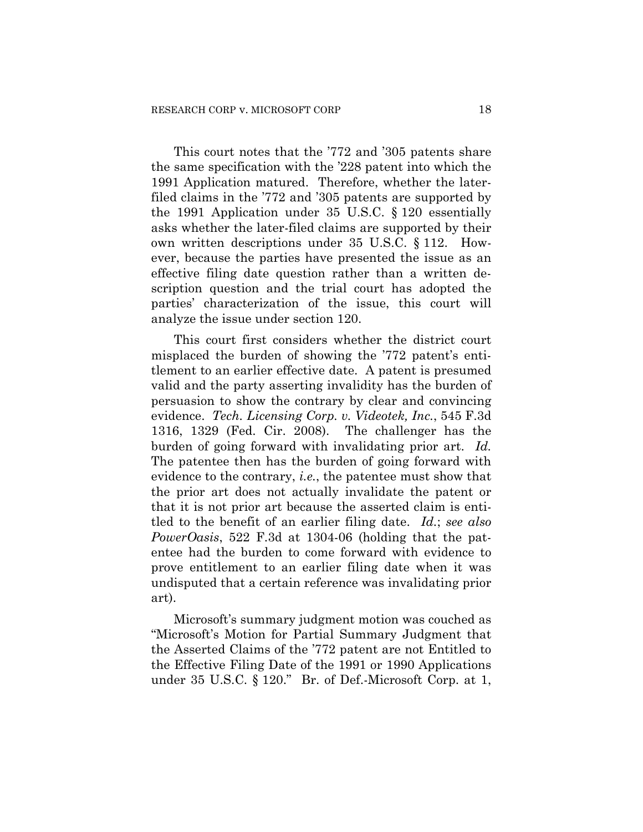This court notes that the '772 and '305 patents share the same specification with the '228 patent into which the 1991 Application matured. Therefore, whether the laterfiled claims in the '772 and '305 patents are supported by the 1991 Application under 35 U.S.C. § 120 essentially asks whether the later-filed claims are supported by their own written descriptions under 35 U.S.C. § 112. However, because the parties have presented the issue as an effective filing date question rather than a written description question and the trial court has adopted the parties' characterization of the issue, this court will analyze the issue under section 120.

This court first considers whether the district court misplaced the burden of showing the '772 patent's entitlement to an earlier effective date. A patent is presumed valid and the party asserting invalidity has the burden of persuasion to show the contrary by clear and convincing evidence. *Tech. Licensing Corp. v. Videotek, Inc.*, 545 F.3d 1316, 1329 (Fed. Cir. 2008). The challenger has the burden of going forward with invalidating prior art. *Id.* The patentee then has the burden of going forward with evidence to the contrary, *i.e.*, the patentee must show that the prior art does not actually invalidate the patent or that it is not prior art because the asserted claim is entitled to the benefit of an earlier filing date. *Id.*; *see also PowerOasis*, 522 F.3d at 1304-06 (holding that the patentee had the burden to come forward with evidence to prove entitlement to an earlier filing date when it was undisputed that a certain reference was invalidating prior art).

Microsoft's summary judgment motion was couched as "Microsoft's Motion for Partial Summary Judgment that the Asserted Claims of the '772 patent are not Entitled to the Effective Filing Date of the 1991 or 1990 Applications under 35 U.S.C. § 120." Br. of Def.-Microsoft Corp. at 1,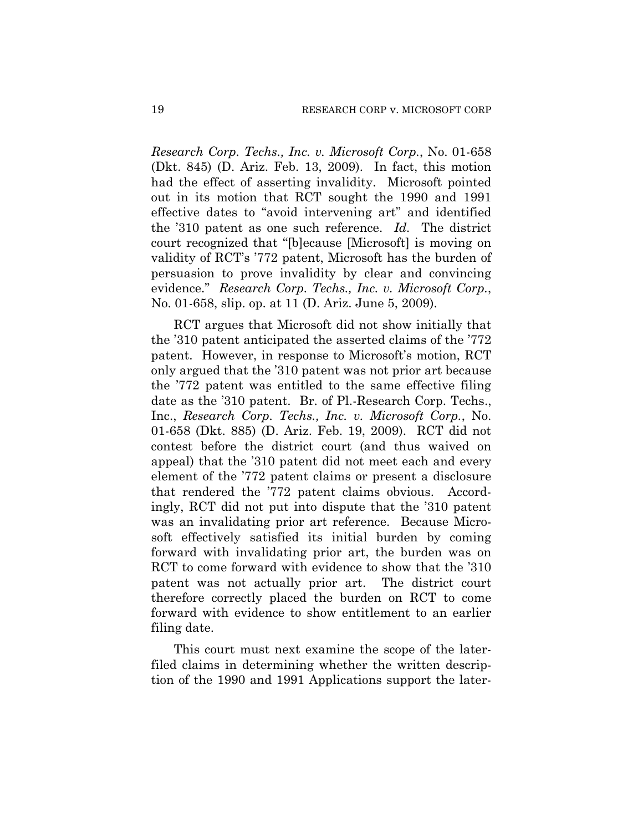*Research Corp. Techs., Inc. v. Microsoft Corp.*, No. 01-658 (Dkt. 845) (D. Ariz. Feb. 13, 2009). In fact, this motion had the effect of asserting invalidity. Microsoft pointed out in its motion that RCT sought the 1990 and 1991 effective dates to "avoid intervening art" and identified the '310 patent as one such reference. *Id.* The district court recognized that "[b]ecause [Microsoft] is moving on validity of RCT's '772 patent, Microsoft has the burden of persuasion to prove invalidity by clear and convincing evidence." *Research Corp. Techs., Inc. v. Microsoft Corp.*, No. 01-658, slip. op. at 11 (D. Ariz. June 5, 2009).

RCT argues that Microsoft did not show initially that the '310 patent anticipated the asserted claims of the '772 patent. However, in response to Microsoft's motion, RCT only argued that the '310 patent was not prior art because the '772 patent was entitled to the same effective filing date as the '310 patent. Br. of Pl.-Research Corp. Techs., Inc., *Research Corp. Techs., Inc. v. Microsoft Corp.*, No. 01-658 (Dkt. 885) (D. Ariz. Feb. 19, 2009). RCT did not contest before the district court (and thus waived on appeal) that the '310 patent did not meet each and every element of the '772 patent claims or present a disclosure that rendered the '772 patent claims obvious. Accordingly, RCT did not put into dispute that the '310 patent was an invalidating prior art reference. Because Microsoft effectively satisfied its initial burden by coming forward with invalidating prior art, the burden was on RCT to come forward with evidence to show that the '310 patent was not actually prior art. The district court therefore correctly placed the burden on RCT to come forward with evidence to show entitlement to an earlier filing date.

This court must next examine the scope of the laterfiled claims in determining whether the written description of the 1990 and 1991 Applications support the later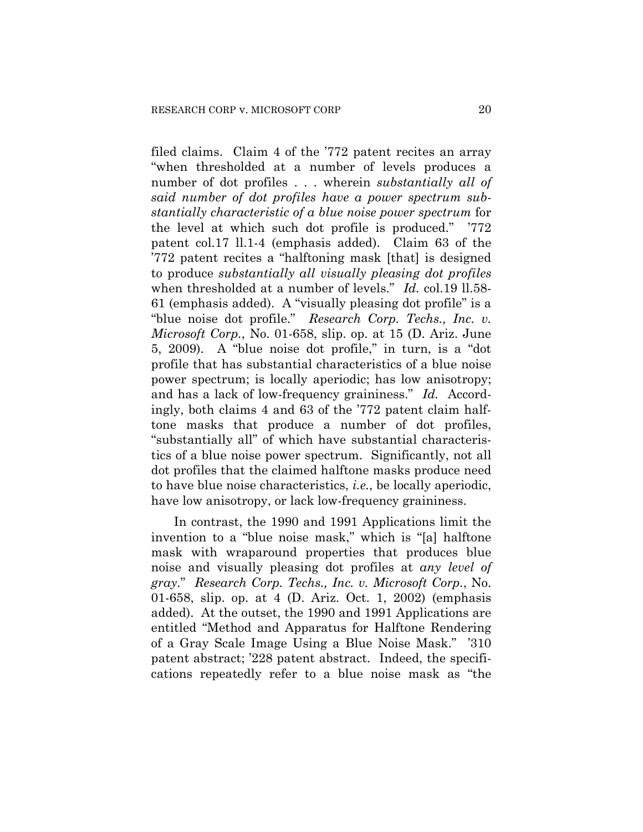filed claims. Claim 4 of the '772 patent recites an array "when thresholded at a number of levels produces a number of dot profiles . . . wherein *substantially all of said number of dot profiles have a power spectrum substantially characteristic of a blue noise power spectrum* for the level at which such dot profile is produced." '772 patent col.17 ll.1-4 (emphasis added). Claim 63 of the '772 patent recites a "halftoning mask [that] is designed to produce *substantially all visually pleasing dot profiles* when thresholded at a number of levels." *Id.* col.19 ll.58-61 (emphasis added). A "visually pleasing dot profile" is a "blue noise dot profile." *Research Corp. Techs., Inc. v. Microsoft Corp.*, No. 01-658, slip. op. at 15 (D. Ariz. June 5, 2009). A "blue noise dot profile," in turn, is a "dot profile that has substantial characteristics of a blue noise power spectrum; is locally aperiodic; has low anisotropy; and has a lack of low-frequency graininess." *Id.* Accordingly, both claims 4 and 63 of the '772 patent claim halftone masks that produce a number of dot profiles, "substantially all" of which have substantial characteristics of a blue noise power spectrum. Significantly, not all dot profiles that the claimed halftone masks produce need to have blue noise characteristics, *i.e.*, be locally aperiodic, have low anisotropy, or lack low-frequency graininess.

In contrast, the 1990 and 1991 Applications limit the invention to a "blue noise mask," which is "[a] halftone mask with wraparound properties that produces blue noise and visually pleasing dot profiles at *any level of gray*." *Research Corp. Techs., Inc. v. Microsoft Corp.*, No. 01-658, slip. op. at 4 (D. Ariz. Oct. 1, 2002) (emphasis added). At the outset, the 1990 and 1991 Applications are entitled "Method and Apparatus for Halftone Rendering of a Gray Scale Image Using a Blue Noise Mask." '310 patent abstract; '228 patent abstract.Indeed, the specifications repeatedly refer to a blue noise mask as "the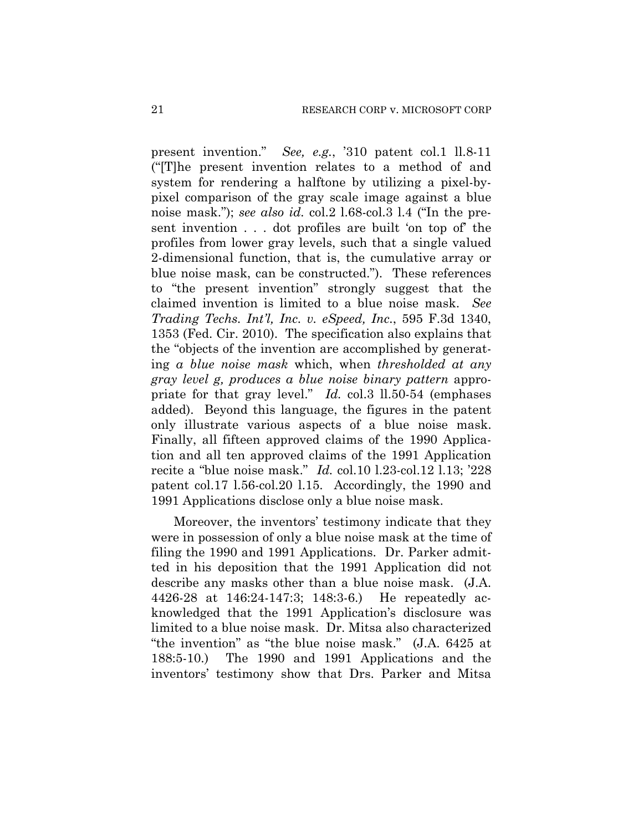present invention." *See, e.g.*, '310 patent col.1 ll.8-11 ("[T]he present invention relates to a method of and system for rendering a halftone by utilizing a pixel-bypixel comparison of the gray scale image against a blue noise mask."); *see also id.* col.2 l.68-col.3 l.4 ("In the present invention . . . dot profiles are built 'on top of' the profiles from lower gray levels, such that a single valued 2-dimensional function, that is, the cumulative array or blue noise mask, can be constructed.").These references to "the present invention" strongly suggest that the claimed invention is limited to a blue noise mask. *See Trading Techs. Int'l, Inc. v. eSpeed, Inc.*, 595 F.3d 1340, 1353 (Fed. Cir. 2010). The specification also explains that the "objects of the invention are accomplished by generating *a blue noise mask* which, when *thresholded at any gray level g, produces a blue noise binary pattern* appropriate for that gray level." *Id.* col.3 ll.50-54 (emphases added). Beyond this language, the figures in the patent only illustrate various aspects of a blue noise mask. Finally, all fifteen approved claims of the 1990 Application and all ten approved claims of the 1991 Application recite a "blue noise mask." *Id.* col.10 l.23-col.12 l.13; '228 patent col.17 l.56-col.20 l.15. Accordingly, the 1990 and 1991 Applications disclose only a blue noise mask.

Moreover, the inventors' testimony indicate that they were in possession of only a blue noise mask at the time of filing the 1990 and 1991 Applications. Dr. Parker admitted in his deposition that the 1991 Application did not describe any masks other than a blue noise mask. (J.A. 4426-28 at 146:24-147:3; 148:3-6.) He repeatedly acknowledged that the 1991 Application's disclosure was limited to a blue noise mask. Dr. Mitsa also characterized "the invention" as "the blue noise mask." (J.A. 6425 at 188:5-10.) The 1990 and 1991 Applications and the inventors' testimony show that Drs. Parker and Mitsa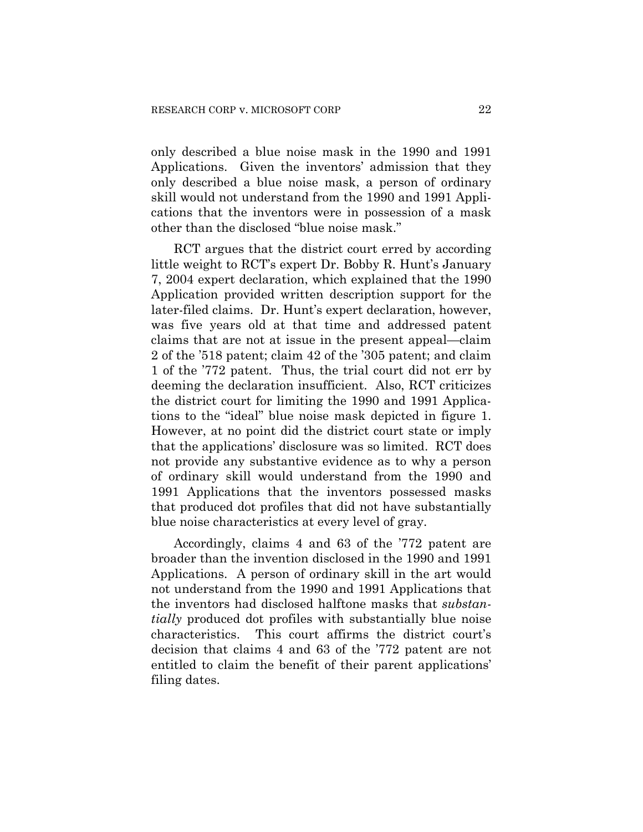only described a blue noise mask in the 1990 and 1991 Applications. Given the inventors' admission that they only described a blue noise mask, a person of ordinary skill would not understand from the 1990 and 1991 Applications that the inventors were in possession of a mask other than the disclosed "blue noise mask."

RCT argues that the district court erred by according little weight to RCT's expert Dr. Bobby R. Hunt's January 7, 2004 expert declaration, which explained that the 1990 Application provided written description support for the later-filed claims. Dr. Hunt's expert declaration, however, was five years old at that time and addressed patent claims that are not at issue in the present appeal—claim 2 of the '518 patent; claim 42 of the '305 patent; and claim 1 of the '772 patent. Thus, the trial court did not err by deeming the declaration insufficient. Also, RCT criticizes the district court for limiting the 1990 and 1991 Applications to the "ideal" blue noise mask depicted in figure 1. However, at no point did the district court state or imply that the applications' disclosure was so limited. RCT does not provide any substantive evidence as to why a person of ordinary skill would understand from the 1990 and 1991 Applications that the inventors possessed masks that produced dot profiles that did not have substantially blue noise characteristics at every level of gray.

Accordingly, claims 4 and 63 of the '772 patent are broader than the invention disclosed in the 1990 and 1991 Applications. A person of ordinary skill in the art would not understand from the 1990 and 1991 Applications that the inventors had disclosed halftone masks that *substantially* produced dot profiles with substantially blue noise characteristics. This court affirms the district court's decision that claims 4 and 63 of the '772 patent are not entitled to claim the benefit of their parent applications' filing dates.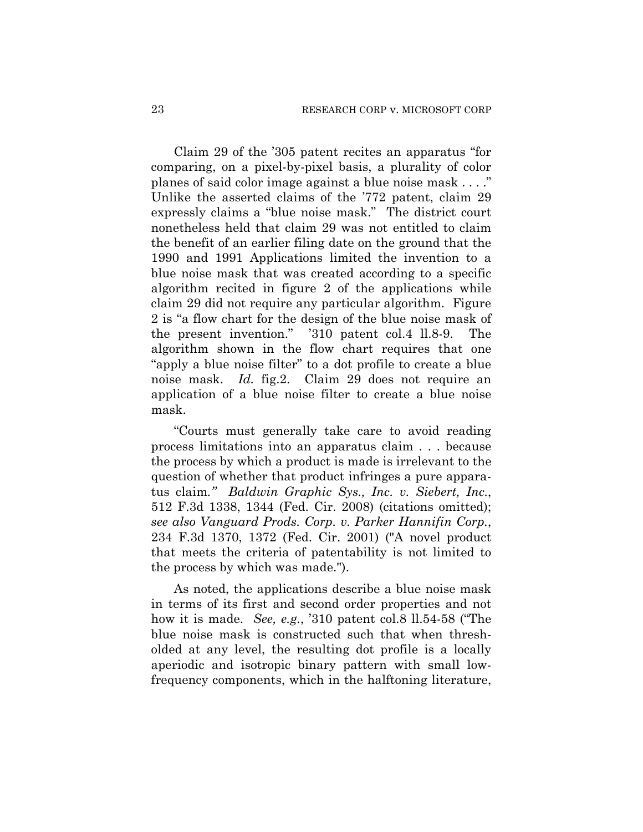Claim 29 of the '305 patent recites an apparatus "for comparing, on a pixel-by-pixel basis, a plurality of color planes of said color image against a blue noise mask . . . ." Unlike the asserted claims of the '772 patent, claim 29 expressly claims a "blue noise mask." The district court nonetheless held that claim 29 was not entitled to claim the benefit of an earlier filing date on the ground that the 1990 and 1991 Applications limited the invention to a blue noise mask that was created according to a specific algorithm recited in figure 2 of the applications while claim 29 did not require any particular algorithm. Figure 2 is "a flow chart for the design of the blue noise mask of the present invention." '310 patent col.4 ll.8-9. The algorithm shown in the flow chart requires that one "apply a blue noise filter" to a dot profile to create a blue noise mask. *Id.* fig.2. Claim 29 does not require an application of a blue noise filter to create a blue noise mask.

"Courts must generally take care to avoid reading process limitations into an apparatus claim . . . because the process by which a product is made is irrelevant to the question of whether that product infringes a pure apparatus claim*." Baldwin Graphic Sys., Inc. v. Siebert, Inc.*, 512 F.3d 1338, 1344 (Fed. Cir. 2008) (citations omitted); *see also Vanguard Prods. Corp. v. Parker Hannifin Corp.*, 234 F.3d 1370, 1372 (Fed. Cir. 2001) ("A novel product that meets the criteria of patentability is not limited to the process by which was made.").

As noted, the applications describe a blue noise mask in terms of its first and second order properties and not how it is made. *See, e.g.*, '310 patent col.8 ll.54-58 ("The blue noise mask is constructed such that when thresholded at any level, the resulting dot profile is a locally aperiodic and isotropic binary pattern with small lowfrequency components, which in the halftoning literature,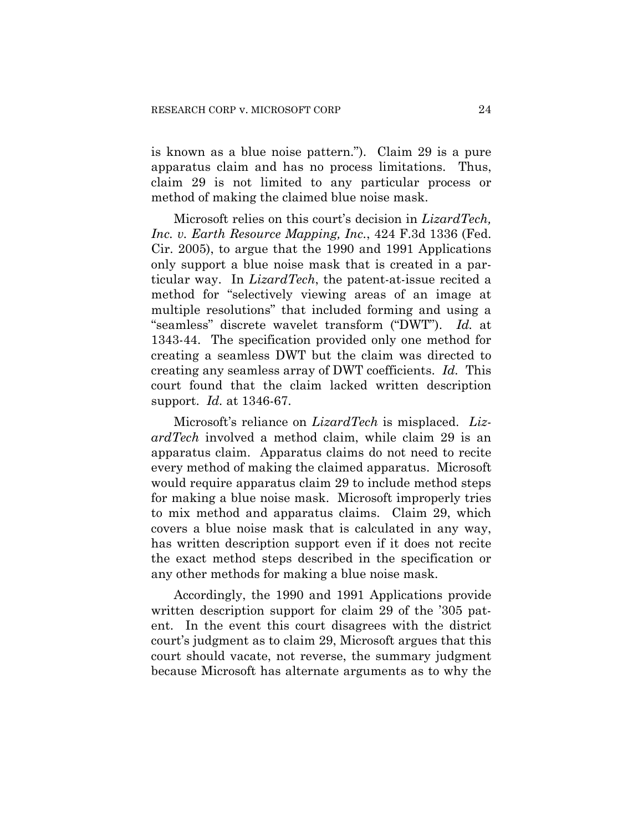is known as a blue noise pattern."). Claim 29 is a pure apparatus claim and has no process limitations. Thus, claim 29 is not limited to any particular process or method of making the claimed blue noise mask.

Microsoft relies on this court's decision in *LizardTech, Inc. v. Earth Resource Mapping, Inc.*, 424 F.3d 1336 (Fed. Cir. 2005), to argue that the 1990 and 1991 Applications only support a blue noise mask that is created in a particular way. In *LizardTech*, the patent-at-issue recited a method for "selectively viewing areas of an image at multiple resolutions" that included forming and using a "seamless" discrete wavelet transform ("DWT"). *Id.* at 1343-44. The specification provided only one method for creating a seamless DWT but the claim was directed to creating any seamless array of DWT coefficients. *Id.* This court found that the claim lacked written description support. *Id.* at 1346-67.

Microsoft's reliance on *LizardTech* is misplaced. *LizardTech* involved a method claim, while claim 29 is an apparatus claim. Apparatus claims do not need to recite every method of making the claimed apparatus. Microsoft would require apparatus claim 29 to include method steps for making a blue noise mask. Microsoft improperly tries to mix method and apparatus claims. Claim 29, which covers a blue noise mask that is calculated in any way, has written description support even if it does not recite the exact method steps described in the specification or any other methods for making a blue noise mask.

Accordingly, the 1990 and 1991 Applications provide written description support for claim 29 of the '305 patent. In the event this court disagrees with the district court's judgment as to claim 29, Microsoft argues that this court should vacate, not reverse, the summary judgment because Microsoft has alternate arguments as to why the